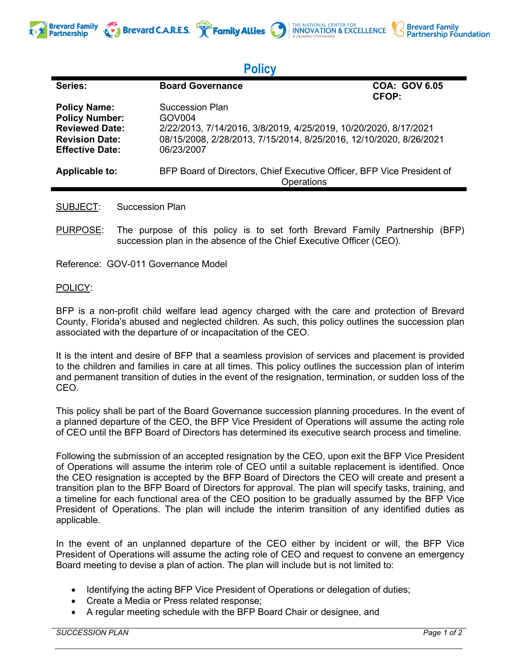



## **Policy**

| Series:                | <b>Board Governance</b>                                                              | <b>COA: GOV 6.05</b><br>CFOP: |
|------------------------|--------------------------------------------------------------------------------------|-------------------------------|
| <b>Policy Name:</b>    | Succession Plan                                                                      |                               |
| <b>Policy Number:</b>  | GOV <sub>004</sub>                                                                   |                               |
| <b>Reviewed Date:</b>  | 2/22/2013, 7/14/2016, 3/8/2019, 4/25/2019, 10/20/2020, 8/17/2021                     |                               |
| <b>Revision Date:</b>  | 08/15/2008, 2/28/2013, 7/15/2014, 8/25/2016, 12/10/2020, 8/26/2021                   |                               |
| <b>Effective Date:</b> | 06/23/2007                                                                           |                               |
| <b>Applicable to:</b>  | BFP Board of Directors, Chief Executive Officer, BFP Vice President of<br>Operations |                               |
|                        |                                                                                      |                               |

SUBJECT: Succession Plan

PURPOSE: The purpose of this policy is to set forth Brevard Family Partnership (BFP) succession plan in the absence of the Chief Executive Officer (CEO).

Reference: GOV-011 Governance Model

## POLICY:

**Partnership** 

BFP is a non-profit child welfare lead agency charged with the care and protection of Brevard County, Florida's abused and neglected children. As such, this policy outlines the succession plan associated with the departure of or incapacitation of the CEO.

It is the intent and desire of BFP that a seamless provision of services and placement is provided to the children and families in care at all times. This policy outlines the succession plan of interim and permanent transition of duties in the event of the resignation, termination, or sudden loss of the CEO.

This policy shall be part of the Board Governance succession planning procedures. In the event of a planned departure of the CEO, the BFP Vice President of Operations will assume the acting role of CEO until the BFP Board of Directors has determined its executive search process and timeline.

Following the submission of an accepted resignation by the CEO, upon exit the BFP Vice President of Operations will assume the interim role of CEO until a suitable replacement is identified. Once the CEO resignation is accepted by the BFP Board of Directors the CEO will create and present a transition plan to the BFP Board of Directors for approval. The plan will specify tasks, training, and a timeline for each functional area of the CEO position to be gradually assumed by the BFP Vice President of Operations. The plan will include the interim transition of any identified duties as applicable.

In the event of an unplanned departure of the CEO either by incident or will, the BFP Vice President of Operations will assume the acting role of CEO and request to convene an emergency Board meeting to devise a plan of action. The plan will include but is not limited to:

- Identifying the acting BFP Vice President of Operations or delegation of duties;
- Create a Media or Press related response;
- A regular meeting schedule with the BFP Board Chair or designee, and